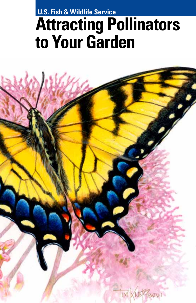### **U.S. Fish & Wildlife Service**

# **Attracting Pollinators to Your Garden**

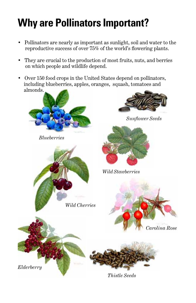## **Why are Pollinators Important?**

- Pollinators are nearly as important as sunlight, soil and water to the reproductive success of over 75% of the world's flowering plants.
- They are crucial to the production of most fruits, nuts, and berries on which people and wildlife depend.
- Over 150 food crops in the United States depend on pollinators, including blueberries, apples, oranges, squash, tomatoes and almonds.

*Wild Cherries*



*Blueberries*

*Elderberry*



*Sunflower Seeds*



*Wild Stawberries*





*Thistle Seeds*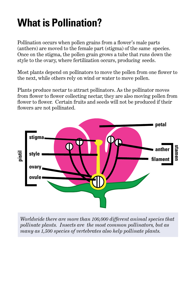## **What is Pollination?**

Pollination occurs when pollen grains from a flower's male parts (anthers) are moved to the female part (stigma) of the same species. Once on the stigma, the pollen grain grows a tube that runs down the style to the ovary, where fertilization occurs, producing seeds.

Most plants depend on pollinators to move the pollen from one flower to the next, while others rely on wind or water to move pollen.

Plants produce nectar to attract pollinators. As the pollinator moves from flower to flower collecting nectar, they are also moving pollen from flower to flower. Certain fruits and seeds will not be produced if their flowers are not pollinated.



*Worldwide there are more than 100,000 different animal species that pollinate plants. Insects are the most common pollinators, but as many as 1,500 species of vertebrates also help pollinate plants.*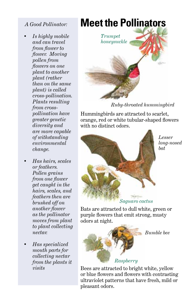#### *A Good Pollinator:*

- *• Is highly mobile and can travel from flower to flower. Moving pollen from flowers on one plant to another plant (rather than on the same plant) is called cross-pollination. Plants resulting from crosspollination have greater genetic diversity and are more capable of withstanding environmental change.*
- *• Has hairs, scales or feathers. Pollen grains from one flower get caught in the hairs, scales, and feathers then are brushed off on another flower as the pollinator moves from plant to plant collecting nectar.*
- *• Has specialized mouth parts for collecting nectar from the plants it visits*



*Ruby-throated hummingbird*

Hummingbirds are attracted to scarlet, orange, red or white tubular-shaped flowers with no distinct odors.



*Lesser long-nosed bat*

Bats are attracted to dull white, green or purple flowers that emit strong, musty odors at night.



*Bumble bee*

Bees are attracted to bright white, yellow or blue flowers and flowers with contrasting ultraviolet patterns that have fresh, mild or pleasant odors.

## **Meet the Pollinators**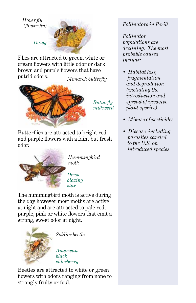#### *Hover fly (flower fly)*



Flies are attracted to green, white or cream flowers with little odor or dark brown and purple flowers that have putrid odors. *Monarch butterfly*



*Butterfly milkweed*

Butterflies are attracted to bright red and purple flowers with a faint but fresh odor.



*Hummingbird moth*

*Dense blazing star*

The hummingbird moth is active during the day however most moths are active at night and are attracted to pale red, purple, pink or white flowers that emit a strong, sweet odor at night.



*Soldier beetle*

*American black elderberry*

Beetles are attracted to white or green flowers with odors ranging from none to strongly fruity or foul.

*Pollinators in Peril!*

*Pollinator populations are declining. The most probable causes include:*

- *Habitat loss, fragmentation and degradation (including the introduction and spread of invasive plant species)*
- *Misuse of pesticides*
- *Disease, including parasites carried to the U.S. on introduced species*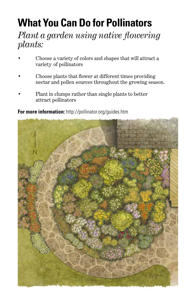## **What You Can Do for Pollinators**

### *Plant a garden using native flowering plants:*

- • Choose a variety of colors and shapes that will attract a variety of pollinators
- Choose plants that flower at different times providing nectar and pollen sources throughout the growing season.
- Plant in clumps rather than single plants to better attract pollinators

**For more information:** http://pollinator.org/guides.htm

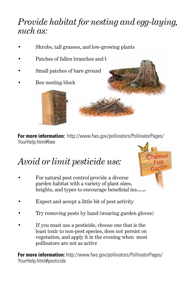### *Provide habitat for nesting and egg-laying, such as:*

- Shrubs, tall grasses, and low-growing plants
- Patches of fallen branches and h
- Small patches of bare ground
- Bee nesting block



**For more information:** http://www.fws.gov/pollinators/PollinatorPages/ YourHelp.html#bee

## *Avoid or limit pesticide use:*

- For natural pest control provide a diverse garden habitat with a variety of plant sizes, heights, and types to encourage beneficial insects
- Expect and accept a little bit of pest activity
- Try removing pests by hand (wearing garden gloves)
- If you must use a pesticide, choose one that is the least toxic to non-pest species, does not persist on vegetation, and apply it in the evening when most pollinators are not as active

**For more information:** http://www.fws.gov/pollinators/PollinatorPages/ YourHelp.html#pesticide